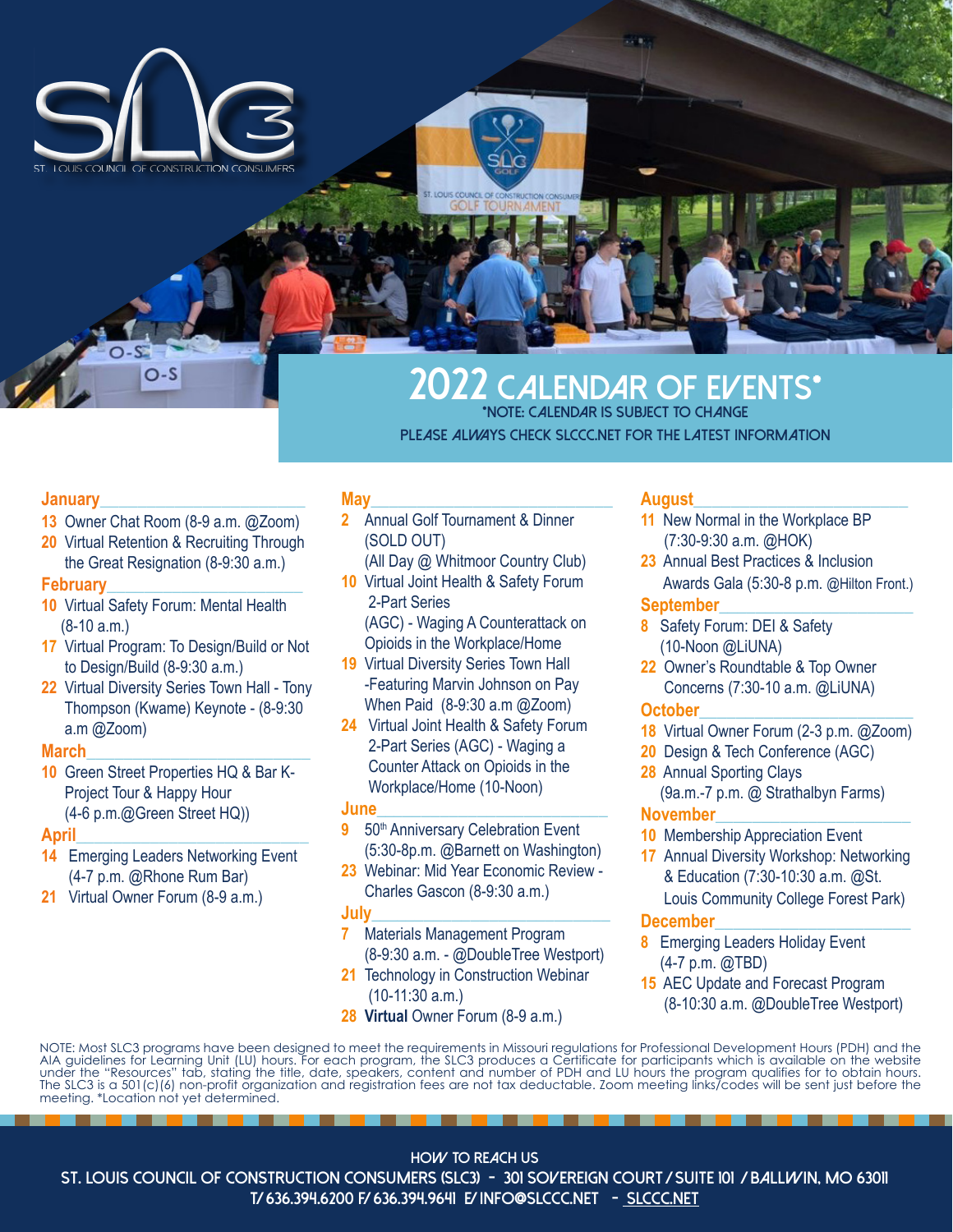

# **2022 Calendar of EVENTS\* \*Note: calendar is subject to change**

**please always check slccc.net for the latest information**

#### **January**\_\_\_\_\_\_\_\_\_\_\_\_\_\_\_\_\_\_\_\_\_\_

**13** Owner Chat Room (8-9 a.m. @Zoom)

O-S

**20** Virtual Retention & Recruiting Through the Great Resignation (8-9:30 a.m.)

#### **February**\_\_\_\_\_\_\_\_\_\_\_\_\_\_\_\_\_\_\_\_\_

- **10** Virtual Safety Forum: Mental Health (8-10 a.m.)
- **17** Virtual Program: To Design/Build or Not to Design/Build (8-9:30 a.m.)
- **22** Virtual Diversity Series Town Hall Tony Thompson (Kwame) Keynote - (8-9:30 a.m @Zoom)

#### **March**\_\_\_\_\_\_\_\_\_\_\_\_\_\_\_\_\_\_\_\_\_\_\_\_

**10** Green Street Properties HQ & Bar K- Project Tour & Happy Hour (4-6 p.m.@Green Street HQ))

#### **April\_**\_\_\_\_\_\_\_\_\_\_\_\_\_\_\_\_\_\_\_\_\_\_\_\_

- **14** Emerging Leaders Networking Event (4-7 p.m. @Rhone Rum Bar)
- **21** Virtual Owner Forum (8-9 a.m.)

## **May\_**\_\_\_\_\_\_\_\_\_\_\_\_\_\_\_\_\_\_\_\_\_\_\_\_\_

- **2** Annual Golf Tournament & Dinner (SOLD OUT)
	- (All Day @ Whitmoor Country Club)
- **10** Virtual Joint Health & Safety Forum 2-Part Series (AGC) - Waging A Counterattack on
- Opioids in the Workplace/Home **19** Virtual Diversity Series Town Hall
- -Featuring Marvin Johnson on Pay When Paid (8-9:30 a.m @Zoom)
- **24** Virtual Joint Health & Safety Forum 2-Part Series (AGC) - Waging a Counter Attack on Opioids in the Workplace/Home (10-Noon)

#### **June\_\_\_**\_\_\_\_\_\_\_\_\_\_\_\_\_\_\_\_\_\_\_\_\_\_

- **9** 50<sup>th</sup> Anniversary Celebration Event (5:30-8p.m. @Barnett on Washington)
- **23** Webinar: Mid Year Economic Review Charles Gascon (8-9:30 a.m.)

#### **July\_\_\_\_\_**\_\_\_\_\_\_\_\_\_\_\_\_\_\_\_\_\_\_\_\_\_

- **7** Materials Management Program (8-9:30 a.m. - @DoubleTree Westport)
- **21** Technology in Construction Webinar (10-11:30 a.m.)
- **28 Virtual Owner Forum (8-9 a.m.)**

### **August**\_\_\_\_\_\_\_\_\_\_\_\_\_\_\_\_\_\_\_\_\_\_\_

- **11** New Normal in the Workplace BP (7:30-9:30 a.m. @HOK)
- **23** Annual Best Practices & Inclusion Awards Gala (5:30-8 p.m. @Hilton Front.)

#### **September\_**\_\_\_\_\_\_\_\_\_\_\_\_\_\_\_\_\_\_\_\_

- **8** Safety Forum: DEI & Safety (10-Noon @LiUNA)
- **22** Owner's Roundtable & Top Owner Concerns (7:30-10 a.m. @LiUNA)

#### **October\_**\_\_\_\_\_\_\_\_\_\_\_\_\_\_\_\_\_\_\_\_\_\_

- **18** Virtual Owner Forum (2-3 p.m. @Zoom)
- **20** Design & Tech Conference (AGC)
- **28** Annual Sporting Clays (9a.m.-7 p.m. @ Strathalbyn Farms)

## **November\_**\_\_\_\_\_\_\_\_\_\_\_\_\_\_\_\_\_\_\_\_

- **10** Membership Appreciation Event
- **17** Annual Diversity Workshop: Networking & Education (7:30-10:30 a.m. @St.

 Louis Community College Forest Park) **December**\_\_\_\_\_\_\_\_\_\_\_\_\_\_\_\_\_\_\_\_\_

- **8** Emerging Leaders Holiday Event (4-7 p.m. @TBD)
- **15** AEC Update and Forecast Program (8-10:30 a.m. @DoubleTree Westport)

NOTE: Most SLC3 programs have been designed to meet the requirements in Missouri regulations for Professional Development Hours (PDH) and the AIA guidelines for Learning Unit (LU) hours. For each program, the SLC3 produces a Certificate for participants which is available on the website under the "Resources" tab, stating the title, date, speakers, content and number of PDH and LU hours the program qualifies for to obtain hours. The SLC3 is a 501(c)(6) non-profit organization and registration fees are not tax deductable. Zoom meeting links/codes will be sent just before the meeting. \*Location not yet determined.

**HOW TO REACH US**

**ST. LOUIS COUNCIL OF CONSTRUCTION CONSUMERS (SLC3) - 301 Sovereign court / suite 101 / ballwin, mo 63011 T/ 636.394.6200 F/ 636.394.9641 E/ info@slccc.net - slccc.net**